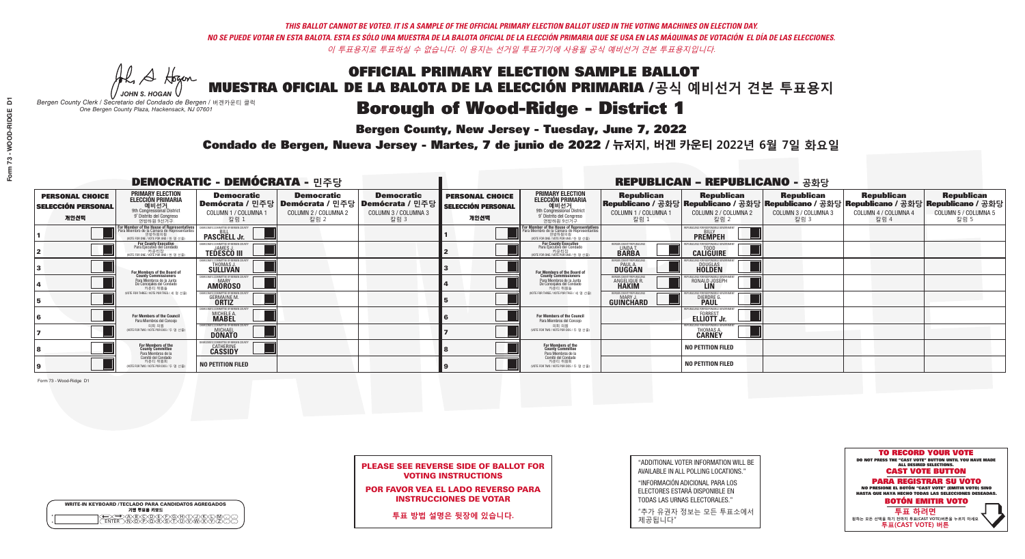Al Stogan *JOHN S. HOGAN*

| <b>WRITE-IN KEYBOARD /TECLADO PARA CANDIDATOS AGREGADOS</b><br>기명 투표용 키보드 |  |
|---------------------------------------------------------------------------|--|
| )(B)(C)(D)(E)(F)(G)(H)(<br><u>አቅአሧይረፈ</u> አይ                              |  |

# **Borough of Wood-Ridge - District 1**

**Bergen County, New Jersey - Tuesday, June 7, 2022** 

*Bergen County Clerk / Secretario del Condado de Bergen /* 버겐카운티 클럭 *One Bergen County Plaza, Hackensack, NJ 07601*

Condado de Bergen, Nueva Jersey - Martes, 7 de junio de 2022 / 뉴저지, 버겐 카운티 2022년 6월 7일 화요일 *One Bergen County Plaza, Hackensack, NJ 07601*



| <b>PLEASE SEE REVERSE SIDE OF BALLOT FOR</b> |
|----------------------------------------------|
| <b>VOTING INSTRUCTIONS</b>                   |

POR FAVOR VEA EL LADO REVERSO PARA INSTRUCCIONES DE VOTAR

**투표 방법 설명은 뒷장에 있습니다.**

| "ADDITIONAL VOTER INFORMATION WILL BE |
|---------------------------------------|
| AVAILABLE IN ALL POLLING LOCATIONS."  |

"INFORMACIÓN ADICIONAL PARA LOS ELECTORES ESTARÁ DISPONIBLE EN TODAS LAS URNAS ELECTORALES."

"추가 유권자 정보는 모든 투표소에서 제공됩니다"

|                                                             |                                                                                                                                               | <b>DEMOCRATIC - DEMÓCRATA - 민주당</b>                                   |                                                   |                                                                                                        |                                                             |                                                                                                                                               |                                                            | <b>REPUBLICAN - REPUBLICANO - 공화당</b>                                                                                                          |                                                   |                                                   |                                                   |
|-------------------------------------------------------------|-----------------------------------------------------------------------------------------------------------------------------------------------|-----------------------------------------------------------------------|---------------------------------------------------|--------------------------------------------------------------------------------------------------------|-------------------------------------------------------------|-----------------------------------------------------------------------------------------------------------------------------------------------|------------------------------------------------------------|------------------------------------------------------------------------------------------------------------------------------------------------|---------------------------------------------------|---------------------------------------------------|---------------------------------------------------|
| <b>PERSONAL CHOICE</b><br><b>SELECCIÓN PERSONAL</b><br>개인선택 | <b>PRIMARY ELECTION</b><br><b>ELECCIÓN PRIMARIA</b><br>예비선거<br>9th Congressional District<br>9° Distrito del Congreso<br>연방하원 9선거구            | <b>Democratic</b><br>COLUMN 1 / COLUMNA 1<br>칼럼 1                     | <b>Democratic</b><br>COLUMN 2 / COLUMNA 2<br>칼럼 2 | <b>Democratic</b><br>│Demócrata / 민주당│Demócrata / 민주당│Demócrata / 민주당┃<br>COLUMN 3 / COLUMNA 3<br>칼럼 3 | <b>PERSONAL CHOICE</b><br><b>SELECCIÓN PERSONAL</b><br>개인선택 | <b>PRIMARY ELECTION</b><br><b>ELECCIÓN PRIMARIA</b><br><u>. 예비선거</u><br>9th Congressional District<br>9° Distrito del Congreso<br>연방하원 9선거구   | <b>Republican</b><br>COLUMN 1 / COLUMNA 1<br>칼럼 1          | <b>Republican</b><br>Republicano / 공화당 Republicano / 공화당 Republicano / 공화당 Republicano / 공화당 Republicano / 공화당<br>COLUMN 2 / COLUMNA 2<br>칼럼 2 | <b>Republican</b><br>COLUMN 3 / COLUMNA 3<br>칼럼 3 | <b>Republican</b><br>COLUMN 4 / COLUMNA 4<br>칼럼 4 | <b>Republican</b><br>COLUMN 5 / COLUMNA 5<br>칼럼 5 |
|                                                             | For Member of the House of Representatives<br>Para Miembro de la Cámara de Representantes<br>연방하원의원<br>(VOTE FOR ONE / VOTE POR UNO / 한 명 선출) | EMOCRATIC COMMITTEE OF BERGEN CO<br><b>PASCRELL Jr.</b>               |                                                   |                                                                                                        |                                                             | For Member of the House of Representatives<br>Para Miembro de la Cámara de Representantes<br>연방하원의원<br>(VOTE FOR ONE / VOTE POR UNO / 한 명 선출) |                                                            | PUBLICANS FOR RESPONSIBLE GOVERN<br><b>PREMPEH</b>                                                                                             |                                                   |                                                   |                                                   |
|                                                             | <b>For County Executive</b><br>Para Ejecutivo del Condado<br>가운티장<br>(VOTE FOR ONE / VOTE POR UNO / 한 명 선출)                                   | EMOCRATIC COMMITTEE OF BERGEN COUNTY<br><b>TEDESCO III</b>            |                                                   |                                                                                                        |                                                             | For County Executive<br>Para Ejecutivo del Condado<br>7 카운티장<br>(VOTE FOR ONE / VOTE POR UNO / 한 명 선출)                                        | BERGEN COUNTY REPUBLICAN<br>LINDA T.                       | <b>CALIGUIRE</b>                                                                                                                               |                                                   |                                                   |                                                   |
|                                                             | For Members of the Board of<br>County Commissioners                                                                                           | MOCRATIC COMMITTEE OF BERGEN COUNTY<br>THOMAS J.<br><b>SÜLLIVAN</b>   |                                                   |                                                                                                        |                                                             | For Members of the Board of<br>County Commissioners                                                                                           | ERGEN COUNTY REPUBLICAN<br><b>PAUL A.</b><br><b>DUGGAN</b> | <b>DOUGLAS</b>                                                                                                                                 |                                                   |                                                   |                                                   |
|                                                             | Para Miembros de la Junta<br>De Concejales del Condado<br>카우티 위원들                                                                             | <i>A</i> OCRATIC COMMITTEE OF BERGEN COUNTY<br>MARY<br><b>AMOROSO</b> |                                                   |                                                                                                        |                                                             | Para Miembros de la Junta<br>De Concejales del Condado<br>카운티 위원들                                                                             | RGEN COUNTY REPUBLICAN:<br>ANGELIQUE R                     | RONALD JOSEPH                                                                                                                                  |                                                   |                                                   |                                                   |
|                                                             | NOTE FOR THREE / VOTE POR TRES / 세 명 선출)                                                                                                      | OCRATIC COMMITTEE OF BERGEN CO<br><b>GERMAINE M.</b>                  |                                                   |                                                                                                        |                                                             | NOTE FOR THREE / VOTE POR TRES / 세 명 선출                                                                                                       | ERGEN COUNTY REPUBLICANS<br>MARY J<br>GUINCHARD            | 'FOR RESPONSIBLE G<br>DIERDRE G                                                                                                                |                                                   |                                                   |                                                   |
|                                                             | For Members of the Council<br>Para Miembros del Conceio                                                                                       | MOCRATIC COMMITTEE OF BERGEN (<br>MICHELE A.                          |                                                   |                                                                                                        |                                                             | For Members of the Council<br>Para Miembros del Conceio                                                                                       |                                                            | 'UBI ICANS FOR RESPONSIBI E GOV<br>ELLIOTT Jr.                                                                                                 |                                                   |                                                   |                                                   |
|                                                             | 의회 의원<br>(VOTE FOR TWO / VOTE POR DOS / 두 명 선출)                                                                                               | EMOCRATIC COMMITTEE OF BERGEN COUNTY<br><b>DONATO</b>                 |                                                   |                                                                                                        |                                                             | 의회 의원<br>(VOTE FOR TWO / VOTE POR DOS / 두 명 선출)                                                                                               |                                                            | PUBLICANS FOR RESPONSIBLE GOV:<br><b>THOMAS A.</b><br><b>CARNEY</b>                                                                            |                                                   |                                                   |                                                   |
|                                                             | For Members of the<br>County Committee<br>Para Miembros de la<br>Comité del Condado                                                           | OCRATIC COMMITTEE OF BERGEI<br><b>CATHERINE</b>                       |                                                   |                                                                                                        |                                                             | For Members of the<br>County Committee<br>Para Miembros de la<br>Comité del Condado                                                           |                                                            | <b>NO PETITION FILED</b>                                                                                                                       |                                                   |                                                   |                                                   |
|                                                             | 카운티 위원회<br>(VOTE FOR TWO / VOTE POR DOS / 두 명 선출)                                                                                             | <b>NO PETITION FILED</b>                                              |                                                   |                                                                                                        |                                                             | 카운티 위원회<br>WOTE FOR TWO / VOTE POR DOS / 두 명 선출)                                                                                              |                                                            | <b>NO PETITION FILED</b>                                                                                                                       |                                                   |                                                   |                                                   |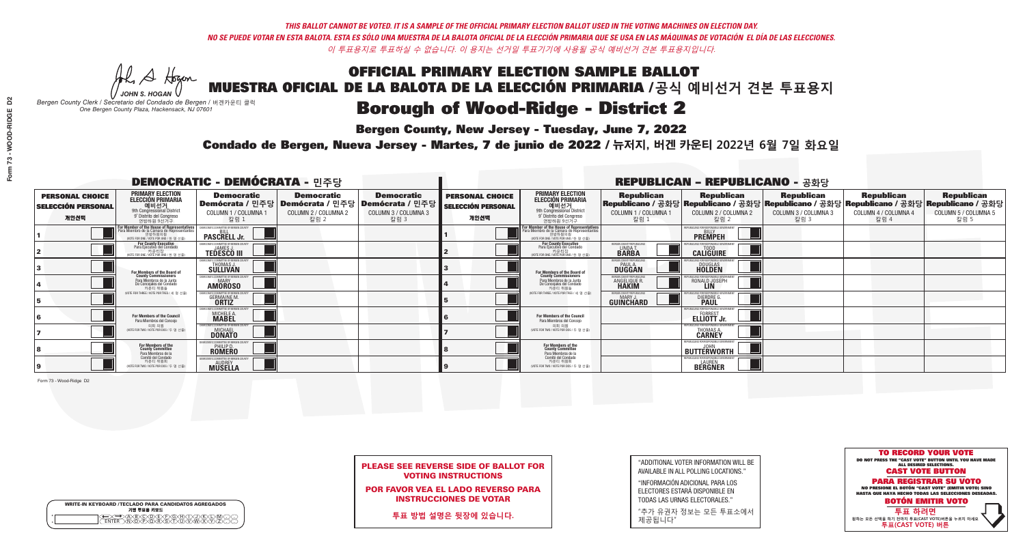A Hogen

|   | <b>WRITE-IN KEYBOARD /TECLADO PARA CANDIDATOS AGREGADOS</b><br>기명 투표용 키보드 |
|---|---------------------------------------------------------------------------|
| o | .)B)C)DE)F)G)H)                                                           |
| o | <u>እጅአል አል</u>                                                            |

# **Borough of Wood-Ridge - District 2**

**Bergen County, New Jersey - Tuesday, June 7, 2022** 

*JOHN S. HOGAN Bergen County Clerk / Secretario del Condado de Bergen /* 버겐카운티 클럭 *One Bergen County Plaza, Hackensack, NJ 07601*



PLEASE SEE REVERSE SIDE OF BALLOT FOR VOTING INSTRUCTIONS

POR FAVOR VEA EL LADO REVERSO PARA INSTRUCCIONES DE VOTAR

**투표 방법 설명은 뒷장에 있습니다.**

"ADDITIONAL VOTER INFORMATION WILL BE AVAILABLE IN ALL POLLING LOCATIONS."

"INFORMACIÓN ADICIONAL PARA LOS ELECTORES ESTARÁ DISPONIBLE EN TODAS LAS URNAS ELECTORALES."

"추가 유권자 정보는 모든 투표소에서 제공됩니다"

Condado de Bergen, Nueva Jersey - Martes, 7 de junio de 2022 / 뉴저지, 버겐 카운티 2022년 6월 7일 화요일 *One Bergen County Plaza, Hackensack, NJ 07601*

|                                                             |                                                                                                                                               | <b>DEMOCRATIC - DEMÓCRATA - 민주당</b>                                      |                                                   |                                                                                                        |                                                             |                                                                                                                                                       |                                                                       | <b>REPUBLICAN - REPUBLICANO - 공화당</b>                                                                                                        |                                                   |                                                   |                                                   |
|-------------------------------------------------------------|-----------------------------------------------------------------------------------------------------------------------------------------------|--------------------------------------------------------------------------|---------------------------------------------------|--------------------------------------------------------------------------------------------------------|-------------------------------------------------------------|-------------------------------------------------------------------------------------------------------------------------------------------------------|-----------------------------------------------------------------------|----------------------------------------------------------------------------------------------------------------------------------------------|---------------------------------------------------|---------------------------------------------------|---------------------------------------------------|
| <b>PERSONAL CHOICE</b><br><b>SELECCIÓN PERSONAL</b><br>개인선택 | <b>PRIMARY ELECTION</b><br><b>ELECCIÓN PRIMARIA</b><br>예비선거<br><sup>9th</sup> Congressional District<br>9° Distrito del Congreso<br>연방하원 9선거구 | <b>Democratic</b><br>COLUMN 1 / COLUMNA 1<br>칼럼 :                        | <b>Democratic</b><br>COLUMN 2 / COLUMNA 2<br>칼럼 2 | <b>Democratic</b><br>│Demócrata / 민주당│Demócrata / 민주당│Demócrata / 민주당┃<br>COLUMN 3 / COLUMNA 3<br>칼럼 3 | <b>PERSONAL CHOICE</b><br><b>SELECCIÓN PERSONAL</b><br>개인선택 | <b>PRIMARY ELECTION</b><br>ELECCIÓN PRIMARIA<br>9th Congressional District<br>9° Distrito del Congreso<br>연방하원 9선거구                                   | <b>Republican</b><br>COLUMN 1 / COLUMNA 1<br>칼럼 1                     | <b>Republican</b><br>Republicano / 공화당 Republicano / 공화당 Republicano / 공화당 Republicano / 공화당 Republicano / 공화당<br>COLUMN 2 / COLUMNA 2<br>칼럼 | <b>Republican</b><br>COLUMN 3 / COLUMNA 3<br>칼럼 3 | <b>Republican</b><br>COLUMN 4 / COLUMNA 4<br>칼럼 4 | <b>Republican</b><br>COLUMN 5 / COLUMNA 5<br>칼럼 5 |
|                                                             | or Member of the House of Representatives<br>ara Miembro de la Cámara de Representantes<br>연방하원의원<br>(VOTE FOR ONE / VOTE POR UNO / 한 명 선출)   | DEMOCRATIC COMMITTEE OF BERGEN COUNT<br><b>PASCRELL Jr.</b>              |                                                   |                                                                                                        |                                                             | <b>For Member of the House of Representatives<br/>Para Miembro de la Cámara de Representantes</b><br>연방하원의원<br>(VOTE FOR ONE / VOTE POR UNO / 한 명 선출) |                                                                       | PUBLICANS FOR RESPONSIBLE GOVERNME!<br><b>PREMPEH</b>                                                                                        |                                                   |                                                   |                                                   |
|                                                             | For County Executive<br>Para Ejecutivo del Condado<br>가운티장<br>(VOTE FOR ONE / VOTE POR UNO / 한 명 선출)                                          | DEMOCRATIC COMMITTEE OF BERGEN COUNTY<br><b>TEDESCO III</b>              |                                                   |                                                                                                        |                                                             | For County Executive<br>Para Ejecutivo del Condado<br>7) 카운티장<br>(VOTE FOR ONE / VOTE POR UNO / 한 명 선출)                                               | BERGEN COUNTY REPUBLICAN<br><b>LINDAT</b><br><b>BARBA</b>             | <b>CALIGUIRE</b>                                                                                                                             |                                                   |                                                   |                                                   |
|                                                             | For Members of the Board of<br>County Commissioners                                                                                           | <b>10CRATIC COMMITTEE OF BERGEN COUNT</b><br>THOMAS J.                   |                                                   |                                                                                                        |                                                             | For Members of the Board of<br>County Commissioners                                                                                                   | ERGEN COUNTY REPUBLICAN<br><b>PAUL A.</b><br><b>DUGGAN</b>            | <b>DOUGLAS</b><br><b>HOLDEN</b>                                                                                                              |                                                   |                                                   |                                                   |
|                                                             | Para Miembros de la Junta<br>De Concejales del Condado<br>카운티 위원들                                                                             | <b>CRATIC COMMITTEE OF BERGEN COUNT</b><br><b>MARY</b><br><b>AMOROSO</b> |                                                   |                                                                                                        |                                                             | Para Miembros de la Junta<br>De Concejales del Condado<br>카우티 위원들                                                                                     | <b>FRGEN COUNTY REPUBLICAN:</b><br><b>ANGELIQUE R</b><br><b>HAKIM</b> | RONALD JOSEPH<br><b>LIN</b>                                                                                                                  |                                                   |                                                   |                                                   |
|                                                             | NOTE FOR THREE / VOTE POR TRES / 세 명 선축)                                                                                                      | RATIC COMMITTEE OF BERGEN COUN:<br><b>GERMAINE M.</b><br><b>ORTIZ</b>    |                                                   |                                                                                                        |                                                             | NOTE FOR THREE / VOTE POR TRES / 세 명 선출                                                                                                               | ERGEN COUNTY REPUBLICANS<br>MARY.<br>GUINCHARD                        | <b>FOR RESPONSIBLE G</b><br><b>DIERDRE L</b>                                                                                                 |                                                   |                                                   |                                                   |
|                                                             | For Members of the Council<br>Para Miembros del Conceio                                                                                       | EMOCRATIC COMMITTEE OF BERGEN COUNT<br>MICHELE A.                        |                                                   |                                                                                                        |                                                             | For Members of the Council<br>Para Miembros del Concejo                                                                                               |                                                                       | UBLICANS FOR RESPONSIBLE GO<br>ELLIOTT Jr.                                                                                                   |                                                   |                                                   |                                                   |
|                                                             | 의회 의원<br>NOTE FOR TWO / VOTE POR DOS / 두 명 선출)                                                                                                | CRATIC COMMITTEE OF BERGEN COUNT<br><b>DONATO</b>                        |                                                   |                                                                                                        |                                                             | 의회 의원<br>NOTE FOR TWO / VOTE POR DOS / 두 명 선출)                                                                                                        |                                                                       | <b>THOMAS A.</b><br><b>CARNEY</b>                                                                                                            |                                                   |                                                   |                                                   |
|                                                             | For Members of the<br>County Committee<br>Para Miembros de la                                                                                 | <b>ROMERO</b>                                                            |                                                   |                                                                                                        |                                                             | For Members of the<br>County Committee<br>Para Miembros de la<br>Comité del Condado                                                                   |                                                                       | REPUBLICANS FOR RESPONSIBLE GI<br><b>BUTTERWORTH</b>                                                                                         |                                                   |                                                   |                                                   |
|                                                             | Comité del Condado<br>카운티 위원회<br>(VOTE FOR TWO / VOTE POR DOS / 두 명 선출)                                                                       | <b>FMOCRATIC COMMITTEE OF BERGEN COUN</b><br><b>MUSELLA</b>              |                                                   |                                                                                                        |                                                             | 카운티 위원회<br>(VOTE FOR TWO / VOTE POR DOS / 두 명 선출)                                                                                                     |                                                                       | FPUBLICANS FOR RESPONSIBLE GOVERNMEN<br><b>BERGNER</b>                                                                                       |                                                   |                                                   |                                                   |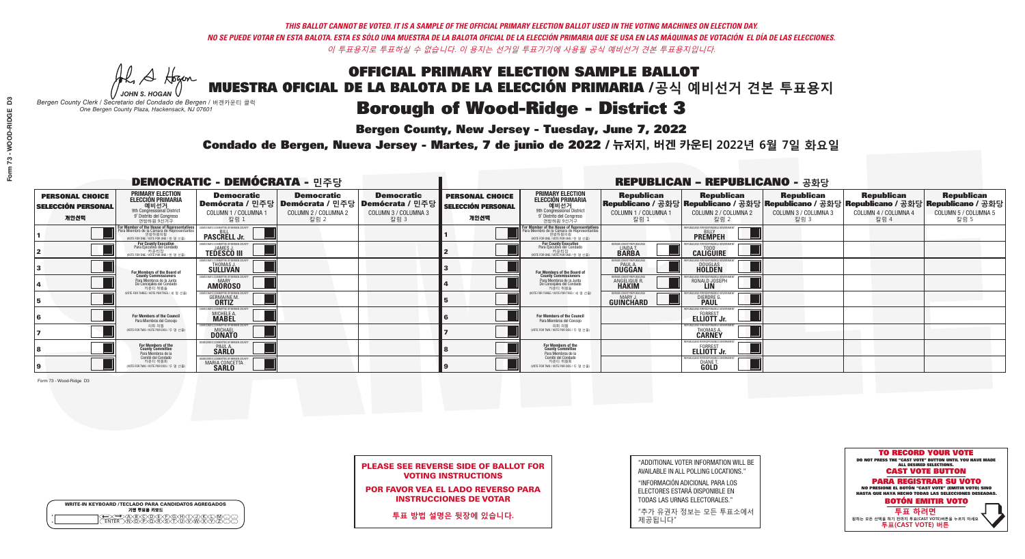A Hogen

|   | <b>WRITE-IN KEYBOARD /TECLADO PARA CANDIDATOS AGREGADOS</b><br>기명 투표용 키보드 |
|---|---------------------------------------------------------------------------|
| o | .)B)C)DE)F)G)H)                                                           |
| o | <u>እጅአል አል</u>                                                            |

# **Borough of Wood-Ridge - District 3**

**Bergen County, New Jersey - Tuesday, June 7, 2022** 

*JOHN S. HOGAN Bergen County Clerk / Secretario del Condado de Bergen /* 버겐카운티 클럭 *One Bergen County Plaza, Hackensack, NJ 07601*



PLEASE SEE REVERSE SIDE OF BALLOT FOR VOTING INSTRUCTIONS

POR FAVOR VEA EL LADO REVERSO PARA INSTRUCCIONES DE VOTAR

**투표 방법 설명은 뒷장에 있습니다.**

"ADDITIONAL VOTER INFORMATION WILL BE AVAILABLE IN ALL POLLING LOCATIONS."

"INFORMACIÓN ADICIONAL PARA LOS ELECTORES ESTARÁ DISPONIBLE EN TODAS LAS URNAS ELECTORALES."

"추가 유권자 정보는 모든 투표소에서 제공됩니다"

Condado de Bergen, Nueva Jersey - Martes, 7 de junio de 2022 / 뉴저지, 버겐 카운티 2022년 6월 7일 화요일 *One Bergen County Plaza, Hackensack, NJ 07601*

| <b>DEMOCRATIC - DEMÓCRATA - 민주당</b>                         |                                                                                                                                                   |                                                                    |                                                   |                                                                                                        |                                                             |                                                                                                                                    |                                                           | <b>REPUBLICAN - REPUBLICANO - 공화당</b>             |                                                                                                                                                |                                                   |                                                   |
|-------------------------------------------------------------|---------------------------------------------------------------------------------------------------------------------------------------------------|--------------------------------------------------------------------|---------------------------------------------------|--------------------------------------------------------------------------------------------------------|-------------------------------------------------------------|------------------------------------------------------------------------------------------------------------------------------------|-----------------------------------------------------------|---------------------------------------------------|------------------------------------------------------------------------------------------------------------------------------------------------|---------------------------------------------------|---------------------------------------------------|
| <b>PERSONAL CHOICE</b><br><b>SELECCIÓN PERSONAL</b><br>개인선택 | <b>PRIMARY ELECTION</b><br><b>ELECCIÓN PRIMARIA</b><br>예비선거<br><sup>9th</sup> Congressional District<br>9° Distrito del Congreso<br>연방하원 9선거구     | <b>Democratic</b><br>COLUMN 1 / COLUMNA 1<br>칼럼 :                  | <b>Democratic</b><br>COLUMN 2 / COLUMNA 2<br>칼럼 2 | <b>Democratic</b><br>│Demócrata / 민주당│Demócrata / 민주당│Demócrata / 민주당│<br>COLUMN 3 / COLUMNA 3<br>칼럼 3 | <b>PERSONAL CHOICE</b><br><b>SELECCIÓN PERSONAL</b><br>개인선택 | <b>PRIMARY ELECTION</b><br>ELECCIÓN PRIMARIA<br>예비선거<br>9th Congressional District<br>9° Distrito del Congreso<br>연방하원 9선거구        | <b>Republican</b><br>COLUMN 1 / COLUMNA 1<br>칼럼           | <b>Republican</b><br>COLUMN 2 / COLUMNA 2<br>칼럼 2 | <b>Republican</b><br>Republicano / 공화당 Republicano / 공화당 Republicano / 공화당 Republicano / 공화당 Republicano / 공화당<br>COLUMN 3 / COLUMNA 3<br>칼럼 3 | <b>Republican</b><br>COLUMN 4 / COLUMNA 4<br>칼럼 4 | <b>Republican</b><br>COLUMN 5 / COLUMNA 5<br>칼럼 5 |
|                                                             | <b>In Member of the House of Representatives<br/>Ira Miembro de la Cámara de Representantes</b><br>연방하원의원<br>WOTE FOR ONE / VOTE POR UNO / 한 명 선출 | <b>PASCRELL Jr.</b>                                                |                                                   |                                                                                                        |                                                             | For Member of the House of Representatives<br>Para Miembro de la Cámara de Representantes<br>(VOTE FOR ONE / VOTE POR UNO / 한 명 선출 |                                                           | <b>PREMPEH</b>                                    |                                                                                                                                                |                                                   |                                                   |
|                                                             | <b>For County Executive</b><br>Para Ejecutivo del Condado<br>기운티장<br>(VOTE FOR ONE / VOTE POR UNO / 한 명 선출)                                       | EMOCRATIC COMMITTEE OF BERGEN COUNT<br><b>TEDESCO III</b>          |                                                   |                                                                                                        |                                                             | For County Executive<br>Para Ejecutivo del Condado<br>카운티장<br>(WOTE FOR ONE / VOTE POR UNO / 한 명 선출)                               | BERGEN COUNTY REPUBLICA<br><b>LINDAT</b><br><b>BARBA</b>  | <b>CALIGUIRE</b>                                  |                                                                                                                                                |                                                   |                                                   |
|                                                             | <b>For Members of the Board of<br/>County Commissioners</b>                                                                                       | MOCRATIC COMMITTEE OF BERGEN COUNT<br>THOMAS J.                    |                                                   |                                                                                                        |                                                             | For Members of the Board of<br>County Commissioners                                                                                | ERGEN COUNTY REPUBLICA<br><b>PAUL A.</b><br><b>DUGGAN</b> | <b>DOUGLAS</b><br><b>HOLDEN</b>                   |                                                                                                                                                |                                                   |                                                   |
|                                                             | Para Miembros de la Junta<br>De Concejales del Condado<br>카운티 위원들                                                                                 | OCRATIC COMMITTEE OF BERGEN COUNT<br><b>MARY</b><br><b>AMÖROSO</b> |                                                   |                                                                                                        |                                                             | Para Miembros de la Junta<br>De Concejales del Condado<br>카우티 위원들                                                                  | <b>ERGEN COUNTY REPUBLICAN</b><br>ANGELIQUE R.            | RONALD JOSEPH                                     |                                                                                                                                                |                                                   |                                                   |
|                                                             | VOTE FOR THREE / VOTE POR TRES / 세 명 선출)                                                                                                          | <b>:RATIC COMMITTEE OF BERGEN COUN</b><br><b>GERMAINE M.</b>       |                                                   |                                                                                                        |                                                             | (VOTE FOR THREE / VOTE POR TRES / 세 명 선출)                                                                                          | FRGEN COUNTY REPUBLICAN<br>MARY J<br><b>GUINCHARD</b>     | <b>DIERDRE</b>                                    |                                                                                                                                                |                                                   |                                                   |
|                                                             | For Members of the Council<br>Para Miembros del Conceio                                                                                           | MOCRATIC COMMITTEE OF BERGEN COUN<br>MICHELE A.                    |                                                   |                                                                                                        |                                                             | <b>For Members of the Council</b><br>Para Miembros del Concejo                                                                     |                                                           | FORREST<br><b>ELLIOTT Jr.</b>                     |                                                                                                                                                |                                                   |                                                   |
|                                                             | 의회 의원<br>NOTE FOR TWO / VOTE POR DOS / 두 명 선출)                                                                                                    | OCRATIC COMMITTEE OF BERGEN COUN'<br>MICHAEL<br><b>DONATO</b>      |                                                   |                                                                                                        |                                                             | 의회 의원<br>NOTE FOR TWO / VOTE POR DOS / 두 명 선출)                                                                                     |                                                           | <b>THOMAS A.</b><br><b>CARNEY</b>                 |                                                                                                                                                |                                                   |                                                   |
|                                                             | For Members of the<br>County Committee<br>Para Miembros de la                                                                                     | <b>SARLO</b>                                                       |                                                   |                                                                                                        |                                                             | For Members of the<br>County Committee<br>Para Miembros de la<br>Comité del Condado                                                |                                                           | FORREST<br><b>ELLIOTT Jr.</b>                     |                                                                                                                                                |                                                   |                                                   |
|                                                             | Comité del Condado<br>카운티 위원회<br>NOTE FOR TWO / VOTE POR DOS / 두 명 선출)                                                                            | MOCRATIC COMMITTEE OF RERGEN COLINT<br>MARIA CONCETTA              |                                                   |                                                                                                        |                                                             | 카운티 위원회<br>(VOTE FOR TWO / VOTE POR DOS / 두 명 선출)                                                                                  |                                                           | <b>DIANE T.</b>                                   |                                                                                                                                                |                                                   |                                                   |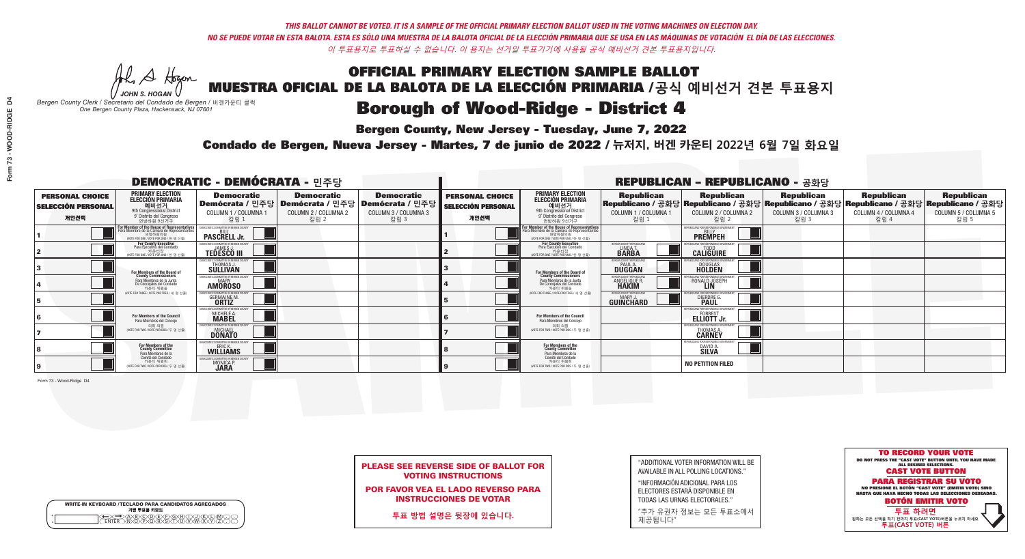A Hogen

|   | <b>WRITE-IN KEYBOARD /TECLADO PARA CANDIDATOS AGREGADOS</b><br>기명 투표용 키보드 |
|---|---------------------------------------------------------------------------|
| o | .)B)C)DE)F)G)H)                                                           |
| o | <u>እጅአል አል</u>                                                            |

### Borough of Wood-Ridge - District 4

**Bergen County, New Jersey - Tuesday, June 7, 2022** 

*JOHN S. HOGAN Bergen County Clerk / Secretario del Condado de Bergen /* 버겐카운티 클럭 *One Bergen County Plaza, Hackensack, NJ 07601*

Condado de Bergen, Nueva Jersey - Martes, 7 de junio de 2022 / 뉴저지, 버겐 카운티 2022년 6월 7일 화요일 *One Bergen County Plaza, Hackensack, NJ 07601*



PLEASE SEE REVERSE SIDE OF BALLOT FOR VOTING INSTRUCTIONS

POR FAVOR VEA EL LADO REVERSO PARA INSTRUCCIONES DE VOTAR

**투표 방법 설명은 뒷장에 있습니다.**

| "ADDITIONAL VOTER INFORMATION WILL BE |
|---------------------------------------|
| AVAILABLE IN ALL POLLING LOCATIONS."  |

"INFORMACIÓN ADICIONAL PARA LOS ELECTORES ESTARÁ DISPONIBLE EN TODAS LAS URNAS ELECTORALES."

"추가 유권자 정보는 모든 투표소에서 제공됩니다"

| <b>DEMOCRATIC - DEMÓCRATA - 민주당</b>                         |                                                                                                                                               |                                                                    |                                                   |                                                                                                        |                                                             |                                                                                                                                               |                                                               | <b>REPUBLICAN - REPUBLICANO - 공화당</b>                                                                                                          |                                                   |                                                   |                                                   |
|-------------------------------------------------------------|-----------------------------------------------------------------------------------------------------------------------------------------------|--------------------------------------------------------------------|---------------------------------------------------|--------------------------------------------------------------------------------------------------------|-------------------------------------------------------------|-----------------------------------------------------------------------------------------------------------------------------------------------|---------------------------------------------------------------|------------------------------------------------------------------------------------------------------------------------------------------------|---------------------------------------------------|---------------------------------------------------|---------------------------------------------------|
| <b>PERSONAL CHOICE</b><br><b>SELECCIÓN PERSONAL</b><br>개인선택 | <b>PRIMARY ELECTION</b><br><b>ELECCIÓN PRIMARIA</b><br>예비선거<br><sup>9th</sup> Congressional District<br>9° Distrito del Congreso<br>연방하원 9선거구 | <b>Democratic</b><br>COLUMN 1 / COLUMNA 1<br>칼럼 :                  | <b>Democratic</b><br>COLUMN 2 / COLUMNA 2<br>칼럼 2 | <b>Democratic</b><br>│Demócrata / 민주당│Demócrata / 민주당│Demócrata / 민주당┃<br>COLUMN 3 / COLUMNA 3<br>칼럼 3 | <b>PERSONAL CHOICE</b><br><b>SELECCIÓN PERSONAL</b><br>개인선택 | <b>PRIMARY ELECTION</b><br>ELECCIÓN PRIMARIA<br>예비선거<br>9th Congressional District<br>9° Distrito del Congreso<br>연방하원 9선거구                   | <b>Republican</b><br>COLUMN 1 / COLUMNA 1<br>칼럼               | <b>Republican</b><br>Republicano / 공화당 Republicano / 공화당 Republicano / 공화당 Republicano / 공화당 Republicano / 공화당<br>COLUMN 2 / COLUMNA 2<br>칼럼 2 | <b>Republican</b><br>COLUMN 3 / COLUMNA 3<br>칼럼 3 | <b>Republican</b><br>COLUMN 4 / COLUMNA 4<br>칼럼 4 | <b>Republican</b><br>COLUMN 5 / COLUMNA 5<br>칼럼 5 |
|                                                             | or Member of the House of Representatives<br>ara Miembro de la Cámara de Representantes<br>연방하원의원<br>(VOTE FOR ONE / VOTE POR UNO / 한 명 선출)   | <b>PASCRELL Jr.</b>                                                |                                                   |                                                                                                        |                                                             | For Member of the House of Representatives<br>Para Miembro de la Cámara de Representantes<br>연방하원의원<br>(VOTE FOR ONE / VOTE POR UNO / 한 명 선출) |                                                               | PUBLICANS FOR RESPONSIBLE GOVER<br><b>PREMPEH</b>                                                                                              |                                                   |                                                   |                                                   |
|                                                             | <b>For County Executive</b><br>Para Ejecutivo del Condado<br>가운티장<br>(VOTE FOR ONE / VOTE POR UNO / 한 명 선출)                                   | DEMOCRATIC COMMITTEE OF BERGEN COUNTY<br><b>TEDESCO III</b>        |                                                   |                                                                                                        |                                                             | For County Executive<br>Para Ejecutivo del Condado<br>. 카운티장<br>(VOTE FOR ONE / VOTE POR UNO / 한 명 선출)                                        | ERGEN COUNTY REPUBLICAN<br><b>I INDA T</b><br><b>BARBA</b>    | <b>CALIGUIRE</b>                                                                                                                               |                                                   |                                                   |                                                   |
|                                                             | For Members of the Board of<br>County Commissioners                                                                                           | MOCRATIC COMMITTEE OF BERGEN COUNTY<br>THOMAS J.                   |                                                   |                                                                                                        |                                                             | For Members of the Board of<br>County Commissioners                                                                                           | ERGEN COUNTY REPUBLICAN<br><b>PAUL A.</b><br><b>DUGGAN</b>    | <b>DOUGLAS</b>                                                                                                                                 |                                                   |                                                   |                                                   |
|                                                             | Para Miembros de la Junta<br>De Concejales del Condado<br>카우티 위원들                                                                             | RATIC COMMITTEE OF BERGEN COUNTY:<br><b>MARY</b><br><b>AMOROSO</b> |                                                   |                                                                                                        |                                                             | Para Miembros de la Junta<br>De Concejales del Condado<br>카운티 위원들                                                                             | FRGEN COUNTY REPUBLICAN<br><b>ANGELIQUE F</b><br><b>HAKIM</b> | RONALD JOSEPH                                                                                                                                  |                                                   |                                                   |                                                   |
|                                                             | NOTE FOR THREE / VOTE POR TRES / 세 명 선출)                                                                                                      | RATIC COMMITTEE OF BERGEN CO<br><b>GERMAINE M.</b>                 |                                                   |                                                                                                        |                                                             | (VOTE FOR THREE / VOTE POR TRES / 세 명 선출)                                                                                                     | ERGEN COUNTY REPUBLICANS<br>MARY J<br>GUINCHARD               | FOR RESPONSIBLE G<br>DIERDRE G                                                                                                                 |                                                   |                                                   |                                                   |
|                                                             | For Members of the Council<br>Para Miembros del Conceio                                                                                       | MOCRATIC COMMITTEE OF BERGEN C<br>MICHELE A.                       |                                                   |                                                                                                        |                                                             | For Members of the Council<br>Para Miembros del Conceio                                                                                       |                                                               | PUBLICANS FOR RESPONSIBLE GO<br>FORREST<br><b>ELLIOTT Jr.</b>                                                                                  |                                                   |                                                   |                                                   |
|                                                             | 의회 의원<br>(VOTE FOR TWO / VOTE POR DOS / 두 명 선출)                                                                                               | MOCRATIC COMMITTEE OF BERGEN COUNT<br><b>DONATO</b>                |                                                   |                                                                                                        |                                                             | 의회 의원<br>(VOTE FOR TWO / VOTE POR DOS / 두 명 선출)                                                                                               |                                                               | PUBLICANS FOR RESPONSIBLE G(<br>THOMAS A.                                                                                                      |                                                   |                                                   |                                                   |
|                                                             | For Members of the<br>County Committee<br>Para Miembros de la                                                                                 | <b>WILLIAMS</b>                                                    |                                                   |                                                                                                        |                                                             | For Members of the<br>County Committee<br>Para Miembros de la<br>Comité del Condado                                                           |                                                               | DAVID A<br><b>SILVA</b>                                                                                                                        |                                                   |                                                   |                                                   |
|                                                             | Comité del Condado<br>카운티 위원회<br>(VOTE FOR TWO / VOTE POR DOS / 두 명 선출)                                                                       | <b>MONICA F</b><br><b>JARA</b>                                     |                                                   |                                                                                                        |                                                             | 카운티 위원회<br>NOTE FOR TWO / VOTE POR DOS / 두 명 선출)                                                                                              |                                                               | <b>NO PETITION FILED</b>                                                                                                                       |                                                   |                                                   |                                                   |